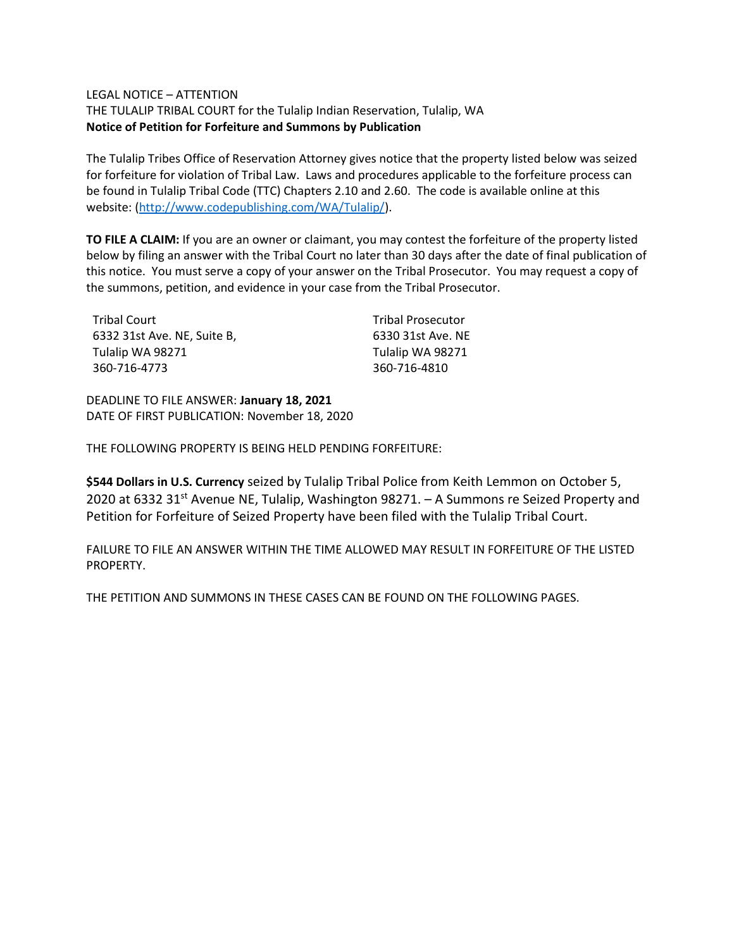## LEGAL NOTICE – ATTENTION

THE TULALIP TRIBAL COURT for the Tulalip Indian Reservation, Tulalip, WA **Notice of Petition for Forfeiture and Summons by Publication**

The Tulalip Tribes Office of Reservation Attorney gives notice that the property listed below was seized for forfeiture for violation of Tribal Law. Laws and procedures applicable to the forfeiture process can be found in Tulalip Tribal Code (TTC) Chapters 2.10 and 2.60. The code is available online at this website: [\(http://www.codepublishing.com/WA/Tulalip/\)](http://www.codepublishing.com/WA/Tulalip/).

**TO FILE A CLAIM:** If you are an owner or claimant, you may contest the forfeiture of the property listed below by filing an answer with the Tribal Court no later than 30 days after the date of final publication of this notice. You must serve a copy of your answer on the Tribal Prosecutor. You may request a copy of the summons, petition, and evidence in your case from the Tribal Prosecutor.

| Tribal Court                | <b>Tribal Prosecutor</b> |
|-----------------------------|--------------------------|
| 6332 31st Ave. NE, Suite B, | 6330 31st Ave. NE        |
| Tulalip WA 98271            | Tulalip WA 98271         |
| 360-716-4773                | 360-716-4810             |

DEADLINE TO FILE ANSWER: **January 18, 2021** DATE OF FIRST PUBLICATION: November 18, 2020

THE FOLLOWING PROPERTY IS BEING HELD PENDING FORFEITURE:

**\$544 Dollars in U.S. Currency** seized by Tulalip Tribal Police from Keith Lemmon on October 5, 2020 at 6332 31<sup>st</sup> Avenue NE, Tulalip, Washington 98271. - A Summons re Seized Property and Petition for Forfeiture of Seized Property have been filed with the Tulalip Tribal Court.

FAILURE TO FILE AN ANSWER WITHIN THE TIME ALLOWED MAY RESULT IN FORFEITURE OF THE LISTED PROPERTY.

THE PETITION AND SUMMONS IN THESE CASES CAN BE FOUND ON THE FOLLOWING PAGES.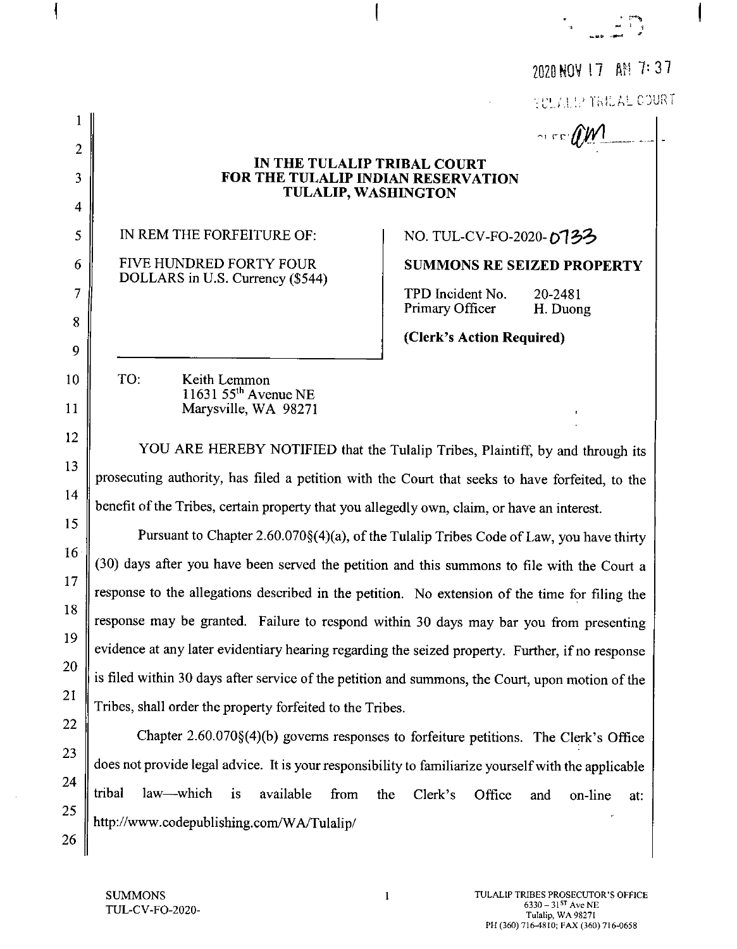|                                                                                              | 2020 NOV 17 AM 7:37                                                                                                                                                                                                                                                                                                                                                                                                                                                                                                                                                                                                                                                                                                                                                                                                                                                                                                                                                                                                                                                                                                     |
|----------------------------------------------------------------------------------------------|-------------------------------------------------------------------------------------------------------------------------------------------------------------------------------------------------------------------------------------------------------------------------------------------------------------------------------------------------------------------------------------------------------------------------------------------------------------------------------------------------------------------------------------------------------------------------------------------------------------------------------------------------------------------------------------------------------------------------------------------------------------------------------------------------------------------------------------------------------------------------------------------------------------------------------------------------------------------------------------------------------------------------------------------------------------------------------------------------------------------------|
|                                                                                              | TULALLY TRILAL COURT                                                                                                                                                                                                                                                                                                                                                                                                                                                                                                                                                                                                                                                                                                                                                                                                                                                                                                                                                                                                                                                                                                    |
|                                                                                              | $\sim$ co $\ell \ll 1$                                                                                                                                                                                                                                                                                                                                                                                                                                                                                                                                                                                                                                                                                                                                                                                                                                                                                                                                                                                                                                                                                                  |
| $\overline{2}$                                                                               | IN THE TULALIP TRIBAL COURT                                                                                                                                                                                                                                                                                                                                                                                                                                                                                                                                                                                                                                                                                                                                                                                                                                                                                                                                                                                                                                                                                             |
| 3                                                                                            | FOR THE TULALIP INDIAN RESERVATION<br><b>TULALIP, WASHINGTON</b>                                                                                                                                                                                                                                                                                                                                                                                                                                                                                                                                                                                                                                                                                                                                                                                                                                                                                                                                                                                                                                                        |
| $\overline{\mathcal{A}}$                                                                     |                                                                                                                                                                                                                                                                                                                                                                                                                                                                                                                                                                                                                                                                                                                                                                                                                                                                                                                                                                                                                                                                                                                         |
| 5                                                                                            | IN REM THE FORFEITURE OF:<br>NO. TUL-CV-FO-2020-073ろ                                                                                                                                                                                                                                                                                                                                                                                                                                                                                                                                                                                                                                                                                                                                                                                                                                                                                                                                                                                                                                                                    |
| 6                                                                                            | FIVE HUNDRED FORTY FOUR<br><b>SUMMONS RE SEIZED PROPERTY</b><br>DOLLARS in U.S. Currency (\$544)                                                                                                                                                                                                                                                                                                                                                                                                                                                                                                                                                                                                                                                                                                                                                                                                                                                                                                                                                                                                                        |
| 7                                                                                            | TPD Incident No.<br>20-2481<br>Primary Officer<br>H. Duong                                                                                                                                                                                                                                                                                                                                                                                                                                                                                                                                                                                                                                                                                                                                                                                                                                                                                                                                                                                                                                                              |
| 8                                                                                            | (Clerk's Action Required)                                                                                                                                                                                                                                                                                                                                                                                                                                                                                                                                                                                                                                                                                                                                                                                                                                                                                                                                                                                                                                                                                               |
| 9<br>10<br>11<br>12<br>13<br>14<br>15<br>16 <sup>°</sup><br>17<br>18<br>19<br>20<br>21<br>22 | TO:<br>Keith Lemmon<br>11631 55 <sup>th</sup> Avenue NE<br>Marysville, WA 98271<br>YOU ARE HEREBY NOTIFIED that the Tulalip Tribes, Plaintiff, by and through its<br>prosecuting authority, has filed a petition with the Court that seeks to have forfeited, to the<br>benefit of the Tribes, certain property that you allegedly own, claim, or have an interest.<br>Pursuant to Chapter 2.60.070§(4)(a), of the Tulalip Tribes Code of Law, you have thirty<br>(30) days after you have been served the petition and this summons to file with the Court a<br>response to the allegations described in the petition. No extension of the time for filing the<br>response may be granted. Failure to respond within 30 days may bar you from presenting<br>evidence at any later evidentiary hearing regarding the seized property. Further, if no response<br>is filed within 30 days after service of the petition and summons, the Court, upon motion of the<br>Tribes, shall order the property forfeited to the Tribes.<br>Chapter 2.60.070§(4)(b) governs responses to forfeiture petitions. The Clerk's Office |
| 23<br>24                                                                                     | does not provide legal advice. It is your responsibility to familiarize yourself with the applicable<br>tribal<br>law—which<br>i <sub>s</sub><br>available<br>from<br>the<br>Clerk's<br>Office<br>and<br>on-line<br>at:                                                                                                                                                                                                                                                                                                                                                                                                                                                                                                                                                                                                                                                                                                                                                                                                                                                                                                 |
| 25<br>26                                                                                     | http://www.codepublishing.com/WA/Tulalip/                                                                                                                                                                                                                                                                                                                                                                                                                                                                                                                                                                                                                                                                                                                                                                                                                                                                                                                                                                                                                                                                               |

 $\biggl\{$ 

 $\bar{z}$ 

 $\biggl\{$ 

 $\overline{\mathbf{I}}$ 

 $\frac{1}{2}$  ,  $\frac{1}{2}$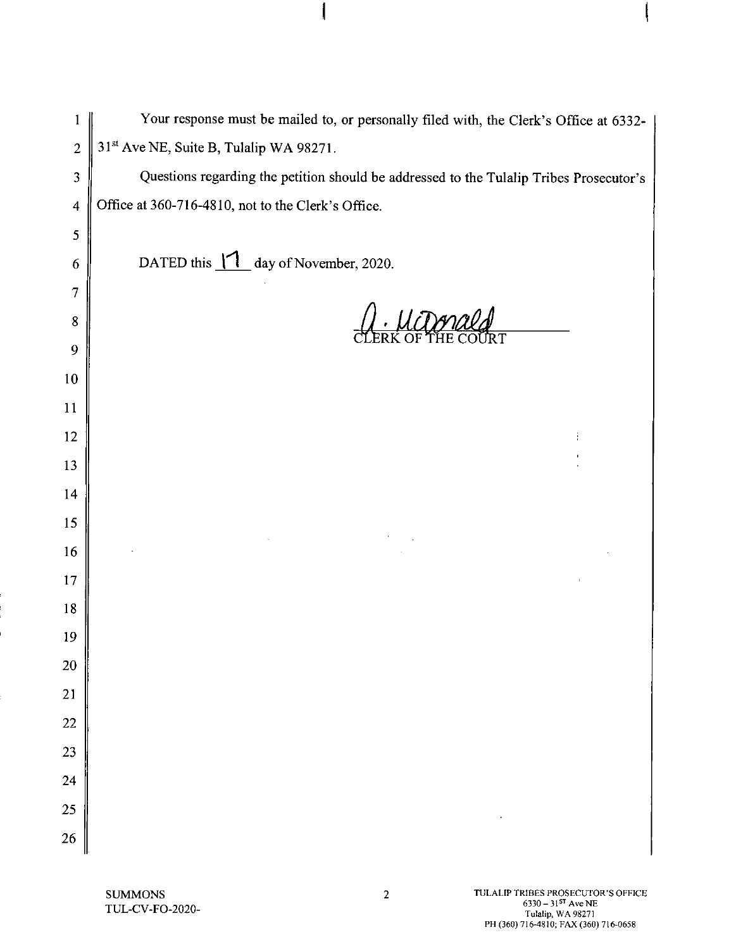| $\mathbf{1}$     | Your response must be mailed to, or personally filed with, the Clerk's Office at 6332-  |
|------------------|-----------------------------------------------------------------------------------------|
| $\overline{2}$   | 31st Ave NE, Suite B, Tulalip WA 98271.                                                 |
| 3                | Questions regarding the petition should be addressed to the Tulalip Tribes Prosecutor's |
| $\boldsymbol{4}$ | Office at 360-716-4810, not to the Clerk's Office.                                      |
| 5                |                                                                                         |
| 6                | DATED this 11 day of November, 2020.                                                    |
| $\overline{7}$   |                                                                                         |
| $8\,$            |                                                                                         |
| 9                |                                                                                         |
| 10               |                                                                                         |
| 11               |                                                                                         |
| 12               |                                                                                         |
| 13               |                                                                                         |
| 14               |                                                                                         |
| 15               |                                                                                         |
| 16               |                                                                                         |
| 17               |                                                                                         |
| 18               |                                                                                         |
| 19               |                                                                                         |
| <b>20</b>        |                                                                                         |
| 21               |                                                                                         |
| 22               |                                                                                         |
| 23               |                                                                                         |
| 24               |                                                                                         |
| 25               |                                                                                         |
| 26               |                                                                                         |

ļ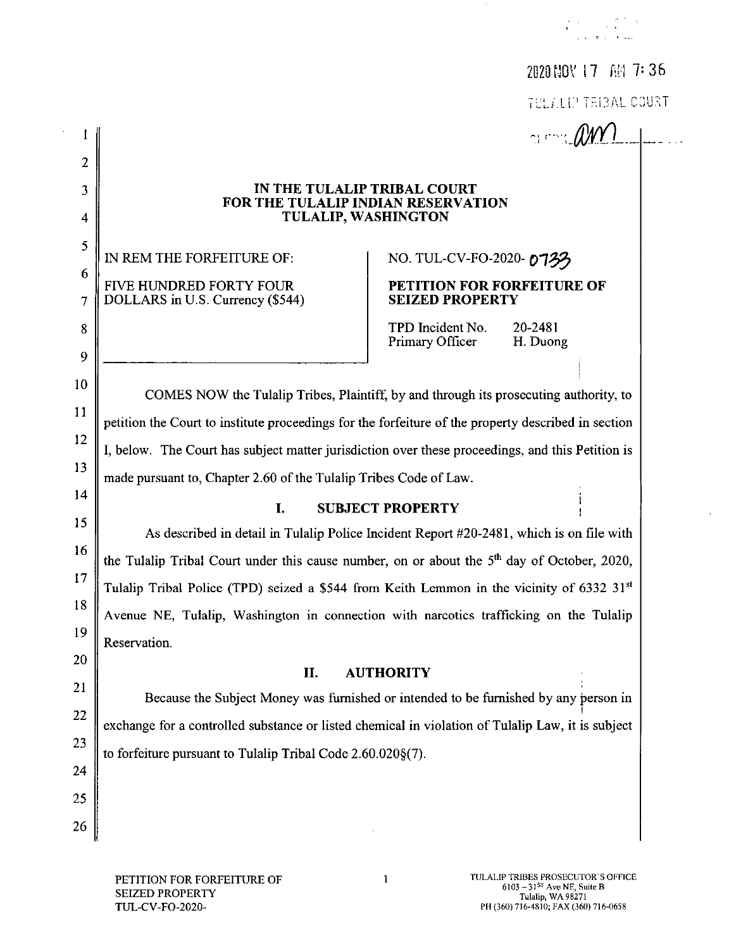# 2020 NOV 17 AM 7:36

THE FELLEP TELEAL COURT

 $\sim$  con AWY

### IN THE TULALIP TRIBAL COURT FOR THE TULALIP INDIAN RESERVATION **TULALIP, WASHINGTON**

IN REM THE FORFEITURE OF: **FIVE HUNDRED FORTY FOUR** DOLLARS in U.S. Currency (\$544)

 $\mathbf{I}$ 

 $\overline{2}$ 

3

 $\overline{4}$ 

5

6

 $\overline{7}$ 

8

9

10

11

12

13

14

15

16

17

18

19

20

21

22

23

24

25

26

NO. TUL-CV-FO-2020-0733

### PETITION FOR FORFEITURE OF **SEIZED PROPERTY**

TPD Incident No. 20-2481 Primary Officer H. Duong

COMES NOW the Tulalip Tribes, Plaintiff, by and through its prosecuting authority, to petition the Court to institute proceedings for the forfeiture of the property described in section I, below. The Court has subject matter jurisdiction over these proceedings, and this Petition is made pursuant to, Chapter 2.60 of the Tulalip Tribes Code of Law.

#### L **SUBJECT PROPERTY**

As described in detail in Tulalip Police Incident Report #20-2481, which is on file with the Tulalip Tribal Court under this cause number, on or about the 5<sup>th</sup> day of October, 2020, Tulalip Tribal Police (TPD) seized a \$544 from Keith Lemmon in the vicinity of 6332 31<sup>st</sup> Avenue NE, Tulalip, Washington in connection with narcotics trafficking on the Tulalip Reservation.

#### II. **AUTHORITY**

Because the Subject Money was furnished or intended to be furnished by any person in exchange for a controlled substance or listed chemical in violation of Tulalip Law, it is subject to forfeiture pursuant to Tulalip Tribal Code 2.60.020§(7).

 $\mathbf{1}$